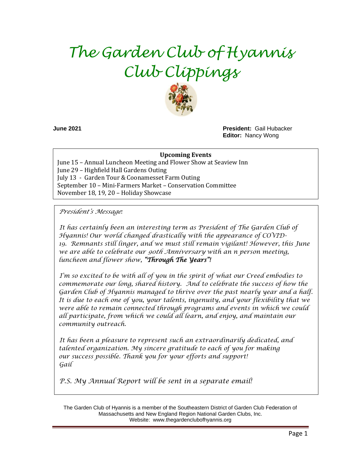# *The Garden Club of Hyannis Club Clippings*



**June 2021 President:** Gail Hubacker **Editor:** Nancy Wong

#### **Upcoming Events**

June 15 – Annual Luncheon Meeting and Flower Show at Seaview Inn June 29 – Highfield Hall Gardens Outing July 13 - Garden Tour & Coonamesset Farm Outing September 10 – Mini-Farmers Market – Conservation Committee November 18, 19, 20 – Holiday Showcase

*President's Message:* 

*It has certainly been an interesting term as President of The Garden Club of Hyannis! Our world changed drastically with the appearance of COVID-19. Remnants still linger, and we must still remain vigilant! However, this June we are able to celebrate our 90th Anniversary with an n person meeting, luncheon and flower show, "Through The Years"!* 

*I'm so excited to be with all of you in the spirit of what our Creed embodies to commemorate our long, shared history. And to celebrate the success of how the Garden Club of Hyannis managed to thrive over the past nearly year and a half. It is due to each one of you, your talents, ingenuity, and your flexibility that we were able to remain connected through programs and events in which we could all participate, from which we could all learn, and enjoy, and maintain our community outreach.*

*It has been a pleasure to represent such an extraordinarily dedicated, and talented organization. My sincere gratitude to each of you for making our success possible. Thank you for your efforts and support! Gail*

*P.S. My Annual Report will be sent in a separate email!*

The Garden Club of Hyannis is a member of the Southeastern District of Garden Club Federation of Massachusetts and New England Region National Garden Clubs, Inc. Website: www.thegardenclubofhyannis.org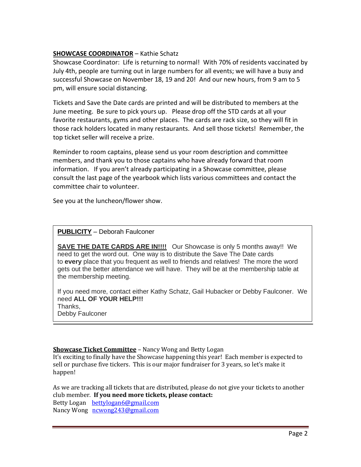# **SHOWCASE COORDINATOR** – Kathie Schatz

Showcase Coordinator: Life is returning to normal! With 70% of residents vaccinated by July 4th, people are turning out in large numbers for all events; we will have a busy and successful Showcase on November 18, 19 and 20! And our new hours, from 9 am to 5 pm, will ensure social distancing.

Tickets and Save the Date cards are printed and will be distributed to members at the June meeting. Be sure to pick yours up. Please drop off the STD cards at all your favorite restaurants, gyms and other places. The cards are rack size, so they will fit in those rack holders located in many restaurants. And sell those tickets! Remember, the top ticket seller will receive a prize.

Reminder to room captains, please send us your room description and committee members, and thank you to those captains who have already forward that room information. If you aren't already participating in a Showcase committee, please consult the last page of the yearbook which lists various committees and contact the committee chair to volunteer.

See you at the luncheon/flower show.

### **PUBLICITY** – Deborah Faulconer

**SAVE THE DATE CARDS ARE IN!!!!** Our Showcase is only 5 months away!! We need to get the word out. One way is to distribute the Save The Date cards to **every** place that you frequent as well to friends and relatives! The more the word gets out the better attendance we will have. They will be at the membership table at the membership meeting.

If you need more, contact either Kathy Schatz, Gail Hubacker or Debby Faulconer. We need **ALL OF YOUR HELP!!!**  Thanks, Debby Faulconer

#### **Showcase Ticket Committee** – Nancy Wong and Betty Logan

It's exciting to finally have the Showcase happening this year! Each member is expected to sell or purchase five tickers. This is our major fundraiser for 3 years, so let's make it happen!

As we are tracking all tickets that are distributed, please do not give your tickets to another club member. **If you need more tickets, please contact:** Betty Logan [bettylogan6@gmail.com](mailto:bettylogan6@gmail.com) Nancy Wong [ncwong243@gmail.com](mailto:ncwong243@gmail.com)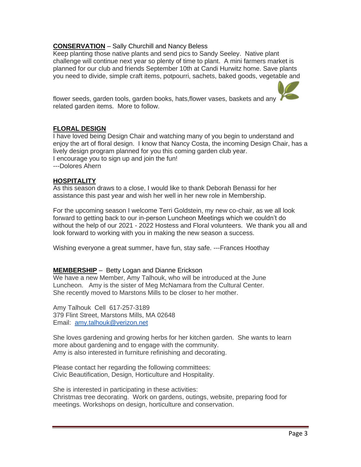# **CONSERVATION** – Sally Churchill and Nancy Beless

Keep planting those native plants and send pics to Sandy Seeley. Native plant challenge will continue next year so plenty of time to plant. A mini farmers market is planned for our club and friends September 10th at Candi Hurwitz home. Save plants you need to divide, simple craft items, potpourri, sachets, baked goods, vegetable and

flower seeds, garden tools, garden books, hats,flower vases, baskets and any related garden items. More to follow.

#### **FLORAL DESIGN**

I have loved being Design Chair and watching many of you begin to understand and enjoy the art of floral design. I know that Nancy Costa, the incoming Design Chair, has a lively design program planned for you this coming garden club year. I encourage you to sign up and join the fun! ---Dolores Ahern

#### **HOSPITALITY**

As this season draws to a close, I would like to thank Deborah Benassi for her assistance this past year and wish her well in her new role in Membership.

For the upcoming season I welcome Terri Goldstein, my new co-chair, as we all look forward to getting back to our in-person Luncheon Meetings which we couldn't do without the help of our 2021 - 2022 Hostess and Floral volunteers. We thank you all and look forward to working with you in making the new season a success.

Wishing everyone a great summer, have fun, stay safe. ---Frances Hoothay

#### **MEMBERSHIP** – Betty Logan and Dianne Erickson

We have a new Member, Amy Talhouk, who will be introduced at the June Luncheon. Amy is the sister of Meg McNamara from the Cultural Center. She recently moved to Marstons Mills to be closer to her mother.

Amy Talhouk Cell 617-257-3189 379 Flint Street, Marstons Mills, MA 02648 Email: [amy.talhouk@verizon.net](mailto:amy.talhouk@verizon.net)

She loves gardening and growing herbs for her kitchen garden. She wants to learn more about gardening and to engage with the community. Amy is also interested in furniture refinishing and decorating.

Please contact her regarding the following committees: Civic Beautification, Design, Horticulture and Hospitality.

She is interested in participating in these activities: Christmas tree decorating. Work on gardens, outings, website, preparing food for meetings. Workshops on design, horticulture and conservation.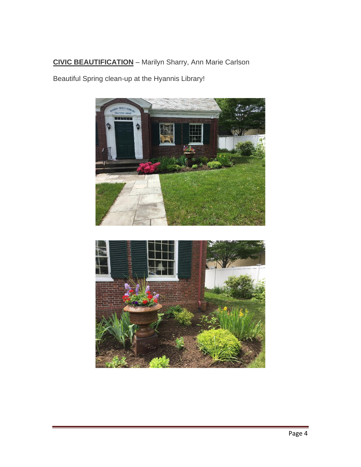# **CIVIC BEAUTIFICATION** – Marilyn Sharry, Ann Marie Carlson

Beautiful Spring clean-up at the Hyannis Library!